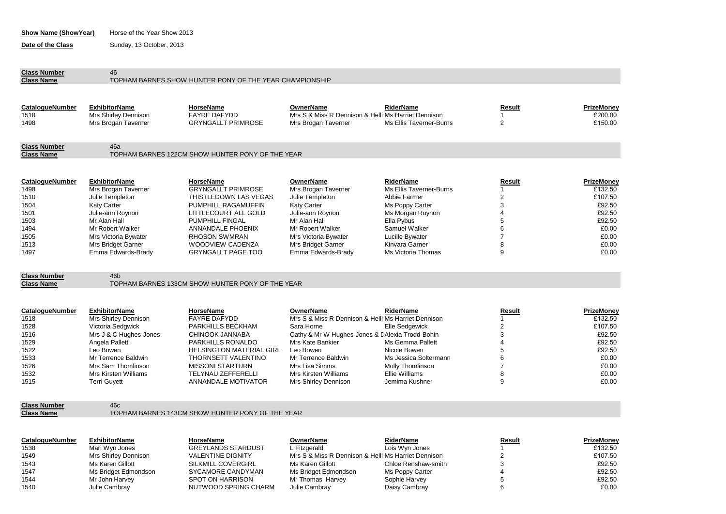| <b>Show Name (ShowYear)</b> | Horse of the Year Show 2013 |
|-----------------------------|-----------------------------|
|-----------------------------|-----------------------------|

**Date of the Class** Sunday, 13 October, 2013

**Class Number** 46<br> **Class Name** TO

## TOPHAM BARNES SHOW HUNTER PONY OF THE YEAR CHAMPIONSHIP

| <b>CatalogueNumber</b><br>1518 | <b>ExhibitorName</b><br>Mrs Shirley Dennison | HorseName<br><b>FAYRE DAFYDD</b>                 | OwnerName<br>Mrs S & Miss R Dennison & Helli Ms Harriet Dennison | RiderName               | Result | <b>PrizeMonev</b><br>£200.00 |
|--------------------------------|----------------------------------------------|--------------------------------------------------|------------------------------------------------------------------|-------------------------|--------|------------------------------|
| 1498                           | Mrs Brogan Taverner                          | <b>GRYNGALLT PRIMROSE</b>                        | Mrs Brogan Taverner                                              | Ms Ellis Taverner-Burns |        | £150.00                      |
| <b>Class Number</b>            | 46a                                          |                                                  |                                                                  |                         |        |                              |
| <b>Class Name</b>              |                                              | TOPHAM BARNES 122CM SHOW HUNTER PONY OF THE YEAR |                                                                  |                         |        |                              |
|                                |                                              |                                                  |                                                                  |                         |        |                              |
| CatalogueNumber                | <b>ExhibitorName</b>                         | HorseName                                        | OwnerName                                                        | RiderName               | Result | PrizeMoney                   |
| 1498                           | Mrs Brogan Taverner                          | <b>GRYNGALLT PRIMROSE</b>                        | Mrs Brogan Taverner                                              | Ms Ellis Taverner-Burns |        | £132.50                      |
| 1510                           | Julie Templeton                              | THISTLEDOWN LAS VEGAS                            | Julie Templeton                                                  | Abbie Farmer            |        | £107.50                      |
| 1504                           | <b>Katy Carter</b>                           | PUMPHILL RAGAMUFFIN                              | <b>Katy Carter</b>                                               | Ms Poppy Carter         |        | £92.50                       |
| 1501                           | Julie-ann Roynon                             | LITTLECOURT ALL GOLD                             | Julie-ann Roynon                                                 | Ms Morgan Roynon        |        | £92.50                       |
| 1503                           | Mr Alan Hall                                 | <b>PUMPHILL FINGAL</b>                           | Mr Alan Hall                                                     | Ella Pybus              |        | £92.50                       |
| 1494                           | Mr Robert Walker                             | ANNANDALE PHOENIX                                | Mr Robert Walker                                                 | Samuel Walker           |        | £0.00                        |
| 1505                           | Mrs Victoria Bywater                         | <b>RHOSON SWMRAN</b>                             | Mrs Victoria Bywater                                             | Lucille Bywater         |        | £0.00                        |
| 1513                           | Mrs Bridget Garner                           | WOODVIEW CADENZA                                 | Mrs Bridget Garner                                               | Kinvara Garner          | 8      | £0.00                        |
| 1497                           | Emma Edwards-Brady                           | <b>GRYNGALLT PAGE TOO</b>                        | Emma Edwards-Brady                                               | Ms Victoria Thomas      | 9      | £0.00                        |

**Class Number** 46b<br>**Class Name** TOP

TOPHAM BARNES 133CM SHOW HUNTER PONY OF THE YEAR

| <b>CatalogueNumber</b> | <b>ExhibitorName</b>   | HorseName                       | OwnerName                                           | RiderName             | Result | PrizeMoney |
|------------------------|------------------------|---------------------------------|-----------------------------------------------------|-----------------------|--------|------------|
| 1518                   | Mrs Shirley Dennison   | <b>FAYRE DAFYDD</b>             | Mrs S & Miss R Dennison & Helli Ms Harriet Dennison |                       |        | £132.50    |
| 1528                   | Victoria Sedgwick      | PARKHILLS BECKHAM               | Sara Horne                                          | Elle Sedgewick        |        | £107.50    |
| 1516                   | Mrs J & C Hughes-Jones | CHINOOK JANNABA                 | Cathy & Mr W Hughes-Jones & I Alexia Trodd-Bohin    |                       |        | £92.50     |
| 1529                   | Angela Pallett         | PARKHILLS RONALDO               | Mrs Kate Bankier                                    | Ms Gemma Pallett      |        | £92.50     |
| 1522                   | Leo Bowen              | <b>HELSINGTON MATERIAL GIRL</b> | Leo Bowen                                           | Nicole Bowen          |        | £92.50     |
| 1533                   | Mr Terrence Baldwin    | THORNSETT VALENTINO             | Mr Terrence Baldwin                                 | Ms Jessica Soltermann |        | £0.00      |
| 1526                   | Mrs Sam Thomlinson     | MISSONI STARTURN                | Mrs Lisa Simms                                      | Molly Thomlinson      |        | £0.00      |
| 1532                   | Mrs Kirsten Williams   | TELYNAU ZEFFERELLI              | Mrs Kirsten Williams                                | Ellie Williams        |        | £0.00      |
| 1515                   | <b>Terri Guvett</b>    | ANNANDALE MOTIVATOR             | Mrs Shirley Dennison                                | Jemima Kushner        |        | £0.00      |

**Class Number**

46c

TOPHAM BARNES 143CM SHOW HUNTER PONY OF THE YEAR

| CatalogueNumber | <b>ExhibitorName</b> | HorseName                 | OwnerName                                           | RiderName           | Result | PrizeMoney |
|-----------------|----------------------|---------------------------|-----------------------------------------------------|---------------------|--------|------------|
| 1538            | Mari Wyn Jones       | <b>GREYLANDS STARDUST</b> | L Fitzaerald                                        | Lois Wyn Jones      |        | £132.50    |
| 1549            | Mrs Shirley Dennison | <b>VALENTINE DIGNITY</b>  | Mrs S & Miss R Dennison & Helli Ms Harriet Dennison |                     |        | £107.50    |
| 1543            | Ms Karen Gillott     | SILKMILL COVERGIRL        | Ms Karen Gillott                                    | Chloe Renshaw-smith |        | £92.50     |
| 1547            | Ms Bridget Edmondson | SYCAMORE CANDYMAN         | Ms Bridget Edmondson                                | Ms Poppy Carter     |        | £92.50     |
| 1544            | Mr John Harvey       | SPOT ON HARRISON          | Mr Thomas Harvey                                    | Sophie Harvey       |        | £92.50     |
| 1540            | Julie Cambray        | NUTWOOD SPRING CHARM      | Julie Cambray                                       | Daisy Cambray       |        | £0.00      |